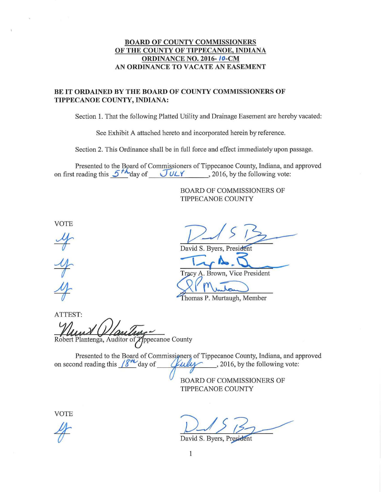#### **BOARD OF COUNTY COMMISSIONERS OF THE COUNTY OF TIPPECANOE, INDIANA ORDINANCE NO. 2016-** *10-CM*  **AN ORDINANCE TO VACATE AN EASEMENT**

#### **BE IT ORDAINED BY THE BOARD OF COUNTY COMMISSIONERS OF TIPPECANOE COUNTY, INDIANA:**

Section 1. That the following Platted Utility and Drainage Easement are hereby vacated:

See Exhibit A attached hereto and incorporated herein by reference.

Section 2. This Ordinance shall be in full force and effect immediately upon passage.

Presented to the Board of Commissioners of Tippecanoe County, Indiana, and approved on first reading this  $5<sup>th</sup>$  day of  $JUX$ , 2016, by the following vote:

> BOARD OF COMMISSIONERS OF TIPPECANOE COUNTY

VOTE

 $\frac{y}{x}$ 

avid S. Byers, Presi  $\frac{1}{\frac{1}{2}}$ 

Tracy A. Brown, Vice President  $-$ 

Thomas P. Murtaugh, Member

ATTEST: Robert Plantenga, Auditor of *T*/ppecanoe County

Presented to the Board of Commissioners of Tippecanoe County, Indiana, and approved on second reading this  $\frac{18^{44}}{20}$  day of  $\frac{6}{44}$ , 2016, by the following vote: *Chally*, 2016, by the following vote:

> BOARD OF COMMISSIONERS OF TIPPECANOE COUNTY

VOTE

David S. Byers, President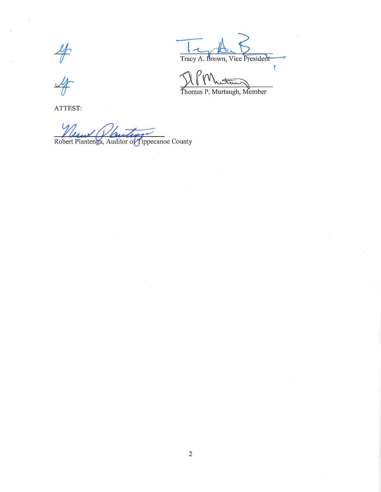$\frac{4}{3}$ 

ATTEST:

Robert Plantenga, Auditor of Tippecanoe County

Tracy A. Brown, Vice President

Thomas P. Murtaugh, Member

staw

 $\bigcap$   $P_{M}$ 

T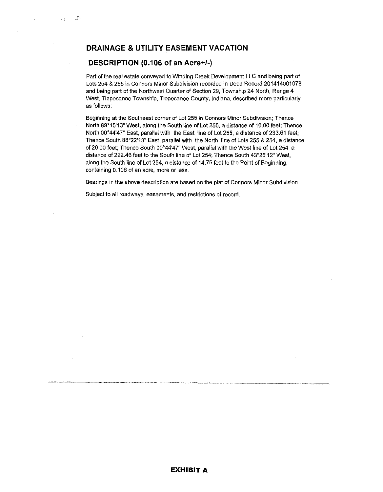### **DRAINAGE & UTILITY EASEMENT VACATION**

#### **DESCRIPTION (0.106 of an Acre+/-)**

 $\frac{1}{2}$ ,  $\frac{1}{2}$ 

Part of the real estate conveyed to Winding Creek Development LLC and being part of Lots 254 & 255 in Connors Minor Subdivision recorded in Deed Record 201414001078 and being part of the Northwest Quarter of Section 29, Township 24 North, Range 4 West, Tippecanoe Township, Tippecanoe County, Indiana, described more particularly as follows:

Beginning at the Southeast corner of Lot 255 in Connors Minor Subdivision; Thence North 89°15'13" West, along the South line of Lot 255, a distance of 10.00 feet; Thence North 00°44'47" East, parallel with the East line of Lot 255, a distance of 233.61 feet; Thence South 88°22'13" East, parallel with the North line of Lots 255 & 254, a distance of 20.00 feet; Thence South 00°44'47" West, parallel with the West line of Lot 254, a distance of 222.46 feet to the South line of Lot 254; Thence South 43°26'12" West, along the South line of Lot 254, a distance of 14.75 feet to the Point of Beginning, containing 0.106 of an acre, more or less.

Bearings in the above description are based on the plat of Connors Minor Subdivision.

Subject to all roadways, easements, and restrictions of record.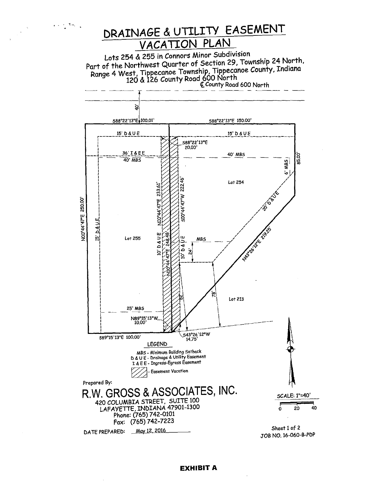

#### **EXHIBIT A**